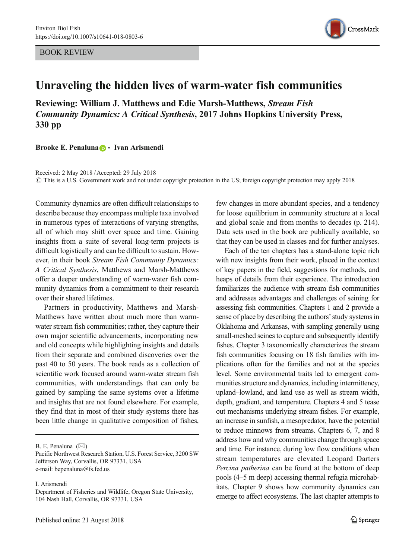BOOK REVIEW



## Unraveling the hidden lives of warm-water fish communities

Reviewing: William J. Matthews and Edie Marsh-Matthews, Stream Fish Community Dynamics: A Critical Synthesis, 2017 Johns Hopkins University Press, 330 pp

Brooke E. Penaluna **D** · Ivan Arismendi

Received: 2 May 2018 /Accepted: 29 July 2018  $\degree$  This is a U.S. Government work and not under copyright protection in the US; foreign copyright protection may apply 2018

Community dynamics are often difficult relationships to describe because they encompass multiple taxa involved in numerous types of interactions of varying strengths, all of which may shift over space and time. Gaining insights from a suite of several long-term projects is difficult logistically and can be difficult to sustain. However, in their book Stream Fish Community Dynamics: A Critical Synthesis, Matthews and Marsh-Matthews offer a deeper understanding of warm-water fish community dynamics from a commitment to their research over their shared lifetimes.

Partners in productivity, Matthews and Marsh-Matthews have written about much more than warmwater stream fish communities; rather, they capture their own major scientific advancements, incorporating new and old concepts while highlighting insights and details from their separate and combined discoveries over the past 40 to 50 years. The book reads as a collection of scientific work focused around warm-water stream fish communities, with understandings that can only be gained by sampling the same systems over a lifetime and insights that are not found elsewhere. For example, they find that in most of their study systems there has been little change in qualitative composition of fishes,

B. E. Penaluna  $(\boxtimes)$ 

I. Arismendi

few changes in more abundant species, and a tendency for loose equilibrium in community structure at a local and global scale and from months to decades (p. 214). Data sets used in the book are publically available, so that they can be used in classes and for further analyses.

Each of the ten chapters has a stand-alone topic rich with new insights from their work, placed in the context of key papers in the field, suggestions for methods, and heaps of details from their experience. The introduction familiarizes the audience with stream fish communities and addresses advantages and challenges of seining for assessing fish communities. Chapters 1 and 2 provide a sense of place by describing the authors' study systems in Oklahoma and Arkansas, with sampling generally using small-meshed seines to capture and subsequently identify fishes. Chapter 3 taxonomically characterizes the stream fish communities focusing on 18 fish families with implications often for the families and not at the species level. Some environmental traits led to emergent communities structure and dynamics, including intermittency, upland–lowland, and land use as well as stream width, depth, gradient, and temperature. Chapters 4 and 5 tease out mechanisms underlying stream fishes. For example, an increase in sunfish, a mesopredator, have the potential to reduce minnows from streams. Chapters 6, 7, and 8 address how and why communities change through space and time. For instance, during low flow conditions when stream temperatures are elevated Leopard Darters Percina patherina can be found at the bottom of deep pools (4–5 m deep) accessing thermal refugia microhabitats. Chapter 9 shows how community dynamics can emerge to affect ecosystems. The last chapter attempts to

Pacific Northwest Research Station, U.S. Forest Service, 3200 SW Jefferson Way, Corvallis, OR 97331, USA e-mail: bepenaluna@fs.fed.us

Department of Fisheries and Wildlife, Oregon State University, 104 Nash Hall, Corvallis, OR 97331, USA